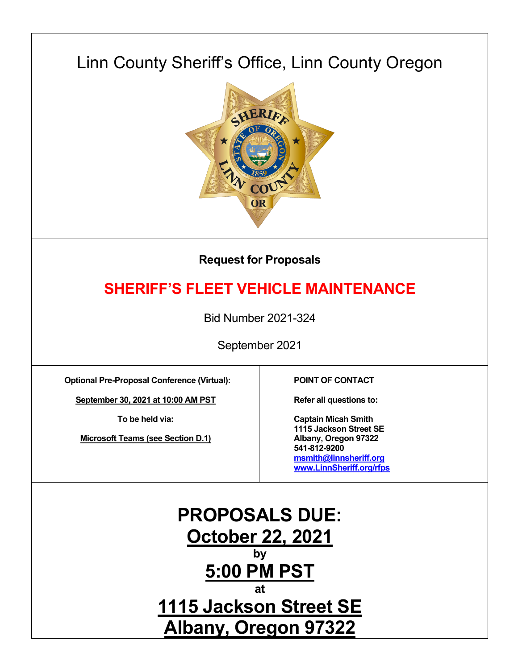# Linn County Sheriff's Office, Linn County Oregon



### **Request for Proposals**

## **SHERIFF'S FLEET VEHICLE MAINTENANCE**

Bid Number 2021-324

September 2021

**Optional Pre-Proposal Conference (Virtual):**

**September 30, 2021 at 10:00 AM PST**

**To be held via:**

**Microsoft Teams (see Section D.1)**

**POINT OF CONTACT**

**Refer all questions to:**

**Captain Micah Smith 1115 Jackson Street SE Albany, Oregon 97322 541-812-9200 msmith@linnsheriff.org www.LinnSheriff.org/rfps**

**PROPOSALS DUE: October 22, 2021 by 5:00 PM PST at 1115 Jackson Street SE Albany, Oregon 97322**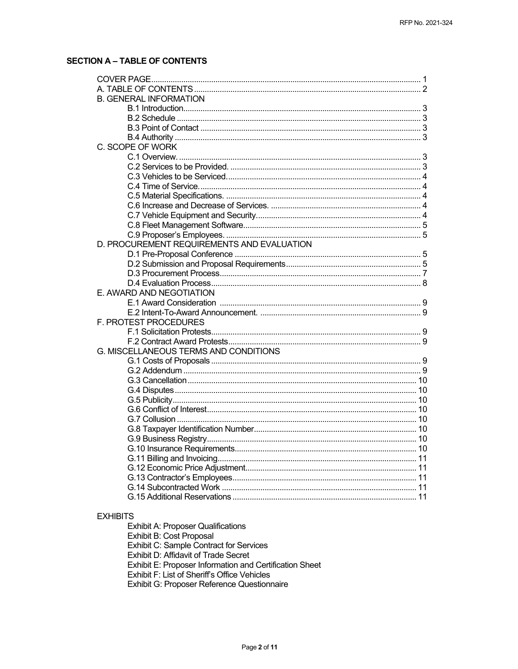### **SECTION A - TABLE OF CONTENTS**

| <b>B. GENERAL INFORMATION</b>              |  |
|--------------------------------------------|--|
|                                            |  |
|                                            |  |
|                                            |  |
|                                            |  |
| C. SCOPE OF WORK                           |  |
|                                            |  |
|                                            |  |
|                                            |  |
|                                            |  |
|                                            |  |
|                                            |  |
|                                            |  |
|                                            |  |
|                                            |  |
| D. PROCUREMENT REQUIREMENTS AND EVALUATION |  |
|                                            |  |
|                                            |  |
|                                            |  |
|                                            |  |
| E. AWARD AND NEGOTIATION                   |  |
|                                            |  |
|                                            |  |
| F. PROTEST PROCEDURES                      |  |
|                                            |  |
|                                            |  |
| G. MISCELLANEOUS TERMS AND CONDITIONS      |  |
|                                            |  |
|                                            |  |
|                                            |  |
|                                            |  |
|                                            |  |
|                                            |  |
|                                            |  |
|                                            |  |
|                                            |  |
|                                            |  |
|                                            |  |
|                                            |  |
|                                            |  |
|                                            |  |
|                                            |  |
|                                            |  |
| <b>EXHIBITS</b>                            |  |

**Exhibit A: Proposer Qualifications** 

Exhibit B: Cost Proposal

Exhibit C: Sample Contract for Services

Exhibit D: Affidavit of Trade Secret

Exhibit E: Proposer Information and Certification Sheet

Exhibit F: List of Sheriff's Office Vehicles

Exhibit G: Proposer Reference Questionnaire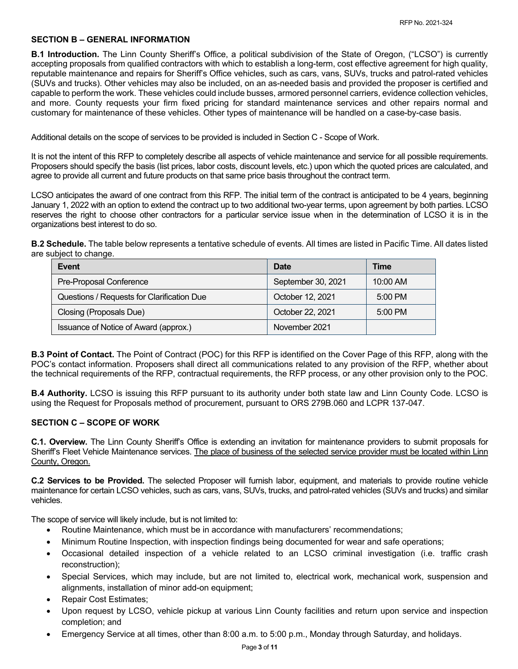#### **SECTION B – GENERAL INFORMATION**

**B.1 Introduction.** The Linn County Sheriff's Office, a political subdivision of the State of Oregon, ("LCSO") is currently accepting proposals from qualified contractors with which to establish a long-term, cost effective agreement for high quality, reputable maintenance and repairs for Sheriff's Office vehicles, such as cars, vans, SUVs, trucks and patrol-rated vehicles (SUVs and trucks). Other vehicles may also be included, on an as-needed basis and provided the proposer is certified and capable to perform the work. These vehicles could include busses, armored personnel carriers, evidence collection vehicles, and more. County requests your firm fixed pricing for standard maintenance services and other repairs normal and customary for maintenance of these vehicles. Other types of maintenance will be handled on a case-by-case basis.

Additional details on the scope of services to be provided is included in Section C - Scope of Work.

It is not the intent of this RFP to completely describe all aspects of vehicle maintenance and service for all possible requirements. Proposers should specify the basis (list prices, labor costs, discount levels, etc.) upon which the quoted prices are calculated, and agree to provide all current and future products on that same price basis throughout the contract term.

LCSO anticipates the award of one contract from this RFP. The initial term of the contract is anticipated to be 4 years, beginning January 1, 2022 with an option to extend the contract up to two additional two-year terms, upon agreement by both parties. LCSO reserves the right to choose other contractors for a particular service issue when in the determination of LCSO it is in the organizations best interest to do so.

**B.2 Schedule.** The table below represents a tentative schedule of events. All times are listed in Pacific Time. All dates listed are subject to change.

| Event                                      | Date               | Time       |
|--------------------------------------------|--------------------|------------|
| Pre-Proposal Conference                    | September 30, 2021 | $10:00$ AM |
| Questions / Requests for Clarification Due | October 12, 2021   | $5:00$ PM  |
| Closing (Proposals Due)                    | October 22, 2021   | $5:00$ PM  |
| Issuance of Notice of Award (approx.)      | November 2021      |            |

**B.3 Point of Contact.** The Point of Contract (POC) for this RFP is identified on the Cover Page of this RFP, along with the POC's contact information. Proposers shall direct all communications related to any provision of the RFP, whether about the technical requirements of the RFP, contractual requirements, the RFP process, or any other provision only to the POC.

**B.4 Authority.** LCSO is issuing this RFP pursuant to its authority under both state law and Linn County Code. LCSO is using the Request for Proposals method of procurement, pursuant to ORS 279B.060 and LCPR 137-047.

#### **SECTION C – SCOPE OF WORK**

**C.1. Overview.** The Linn County Sheriff's Office is extending an invitation for maintenance providers to submit proposals for Sheriff's Fleet Vehicle Maintenance services. The place of business of the selected service provider must be located within Linn County, Oregon.

**C.2 Services to be Provided.** The selected Proposer will furnish labor, equipment, and materials to provide routine vehicle maintenance for certain LCSO vehicles, such as cars, vans, SUVs, trucks, and patrol-rated vehicles (SUVs and trucks) and similar vehicles.

The scope of service will likely include, but is not limited to:

- Routine Maintenance, which must be in accordance with manufacturers' recommendations;
- Minimum Routine Inspection, with inspection findings being documented for wear and safe operations;
- Occasional detailed inspection of a vehicle related to an LCSO criminal investigation (i.e. traffic crash reconstruction);
- Special Services, which may include, but are not limited to, electrical work, mechanical work, suspension and alignments, installation of minor add-on equipment;
- Repair Cost Estimates;
- Upon request by LCSO, vehicle pickup at various Linn County facilities and return upon service and inspection completion; and
- Emergency Service at all times, other than 8:00 a.m. to 5:00 p.m., Monday through Saturday, and holidays.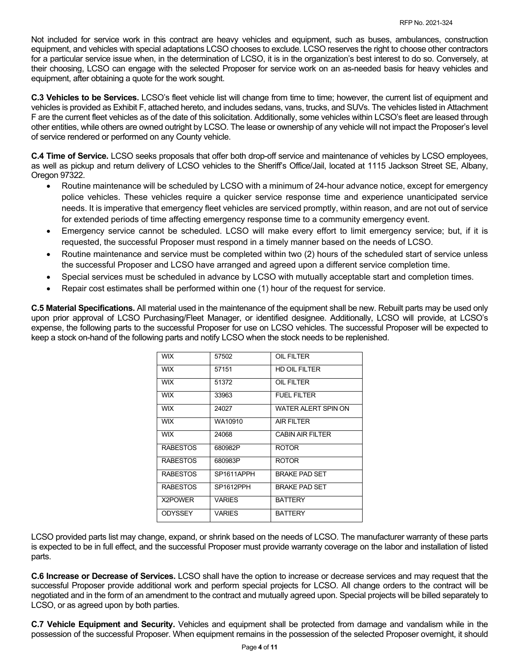Not included for service work in this contract are heavy vehicles and equipment, such as buses, ambulances, construction equipment, and vehicles with special adaptations LCSO chooses to exclude. LCSO reserves the right to choose other contractors for a particular service issue when, in the determination of LCSO, it is in the organization's best interest to do so. Conversely, at their choosing, LCSO can engage with the selected Proposer for service work on an as-needed basis for heavy vehicles and equipment, after obtaining a quote for the work sought.

**C.3 Vehicles to be Services.** LCSO's fleet vehicle list will change from time to time; however, the current list of equipment and vehicles is provided as Exhibit F, attached hereto, and includes sedans, vans, trucks, and SUVs. The vehicles listed in Attachment F are the current fleet vehicles as of the date of this solicitation. Additionally, some vehicles within LCSO's fleet are leased through other entities, while others are owned outright by LCSO. The lease or ownership of any vehicle will not impact the Proposer's level of service rendered or performed on any County vehicle.

**C.4 Time of Service.** LCSO seeks proposals that offer both drop-off service and maintenance of vehicles by LCSO employees, as well as pickup and return delivery of LCSO vehicles to the Sheriff's Office/Jail, located at 1115 Jackson Street SE, Albany, Oregon 97322.

- Routine maintenance will be scheduled by LCSO with a minimum of 24-hour advance notice, except for emergency police vehicles. These vehicles require a quicker service response time and experience unanticipated service needs. It is imperative that emergency fleet vehicles are serviced promptly, within reason, and are not out of service for extended periods of time affecting emergency response time to a community emergency event.
- Emergency service cannot be scheduled. LCSO will make every effort to limit emergency service; but, if it is requested, the successful Proposer must respond in a timely manner based on the needs of LCSO.
- Routine maintenance and service must be completed within two (2) hours of the scheduled start of service unless the successful Proposer and LCSO have arranged and agreed upon a different service completion time.
- Special services must be scheduled in advance by LCSO with mutually acceptable start and completion times.
- Repair cost estimates shall be performed within one (1) hour of the request for service.

**C.5 Material Specifications.** All material used in the maintenance of the equipment shall be new. Rebuilt parts may be used only upon prior approval of LCSO Purchasing/Fleet Manager, or identified designee. Additionally, LCSO will provide, at LCSO's expense, the following parts to the successful Proposer for use on LCSO vehicles. The successful Proposer will be expected to keep a stock on-hand of the following parts and notify LCSO when the stock needs to be replenished.

| <b>WIX</b>      | 57502         | OIL FILTER              |
|-----------------|---------------|-------------------------|
| <b>WIX</b>      | 57151         | HD OIL FILTER           |
| <b>WIX</b>      | 51372         | OIL FILTER              |
| <b>WIX</b>      | 33963         | <b>FUEL FILTER</b>      |
| <b>WIX</b>      | 24027         | WATER ALERT SPIN ON     |
| <b>WIX</b>      | WA10910       | <b>AIR FILTER</b>       |
| <b>WIX</b>      | 24068         | <b>CABIN AIR FILTER</b> |
| <b>RABESTOS</b> | 680982P       | <b>ROTOR</b>            |
| <b>RABESTOS</b> | 680983P       | <b>ROTOR</b>            |
| <b>RABESTOS</b> | SP1611APPH    | <b>BRAKE PAD SET</b>    |
| <b>RABESTOS</b> | SP1612PPH     | <b>BRAKE PAD SET</b>    |
| X2POWER         | <b>VARIES</b> | <b>BATTERY</b>          |
| <b>ODYSSEY</b>  | VARIES        | <b>BATTERY</b>          |

LCSO provided parts list may change, expand, or shrink based on the needs of LCSO. The manufacturer warranty of these parts is expected to be in full effect, and the successful Proposer must provide warranty coverage on the labor and installation of listed parts.

**C.6 Increase or Decrease of Services.** LCSO shall have the option to increase or decrease services and may request that the successful Proposer provide additional work and perform special projects for LCSO. All change orders to the contract will be negotiated and in the form of an amendment to the contract and mutually agreed upon. Special projects will be billed separately to LCSO, or as agreed upon by both parties.

**C.7 Vehicle Equipment and Security.** Vehicles and equipment shall be protected from damage and vandalism while in the possession of the successful Proposer. When equipment remains in the possession of the selected Proposer overnight, it should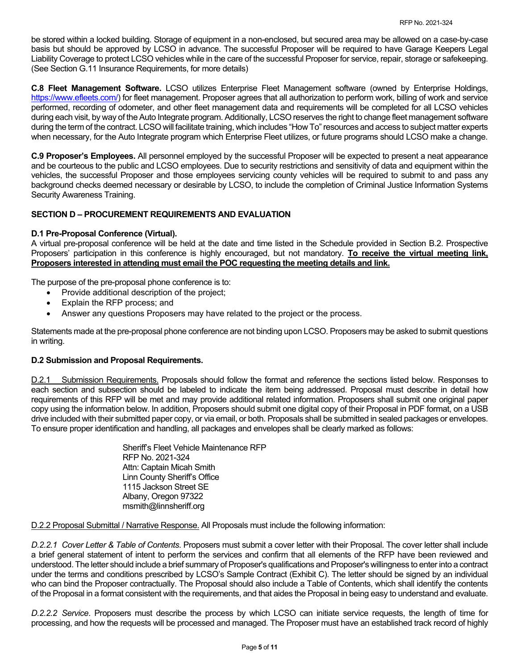be stored within a locked building. Storage of equipment in a non-enclosed, but secured area may be allowed on a case-by-case basis but should be approved by LCSO in advance. The successful Proposer will be required to have Garage Keepers Legal Liability Coverage to protect LCSO vehicles while in the care of the successful Proposer for service, repair, storage or safekeeping. (See Section G.11 Insurance Requirements, for more details)

**C.8 Fleet Management Software.** LCSO utilizes Enterprise Fleet Management software (owned by Enterprise Holdings, https://www.efleets.com/) for fleet management. Proposer agrees that all authorization to perform work, billing of work and service performed, recording of odometer, and other fleet management data and requirements will be completed for all LCSO vehicles during each visit, by way of the Auto Integrate program. Additionally, LCSO reserves the right to change fleet management software during the term of the contract. LCSO will facilitate training, which includes "How To" resources and access to subject matter experts when necessary, for the Auto Integrate program which Enterprise Fleet utilizes, or future programs should LCSO make a change.

**C.9 Proposer's Employees.** All personnel employed by the successful Proposer will be expected to present a neat appearance and be courteous to the public and LCSO employees. Due to security restrictions and sensitivity of data and equipment within the vehicles, the successful Proposer and those employees servicing county vehicles will be required to submit to and pass any background checks deemed necessary or desirable by LCSO, to include the completion of Criminal Justice Information Systems Security Awareness Training.

#### **SECTION D – PROCUREMENT REQUIREMENTS AND EVALUATION**

#### **D.1 Pre-Proposal Conference (Virtual).**

A virtual pre-proposal conference will be held at the date and time listed in the Schedule provided in Section B.2. Prospective Proposers' participation in this conference is highly encouraged, but not mandatory. **To receive the virtual meeting link, Proposers interested in attending must email the POC requesting the meeting details and link.**

The purpose of the pre-proposal phone conference is to:

- Provide additional description of the project;
- Explain the RFP process; and
- Answer any questions Proposers may have related to the project or the process.

Statements made at the pre-proposal phone conference are not binding upon LCSO. Proposers may be asked to submit questions in writing.

#### **D.2 Submission and Proposal Requirements.**

D.2.1 Submission Requirements. Proposals should follow the format and reference the sections listed below. Responses to each section and subsection should be labeled to indicate the item being addressed. Proposal must describe in detail how requirements of this RFP will be met and may provide additional related information. Proposers shall submit one original paper copy using the information below. In addition, Proposers should submit one digital copy of their Proposal in PDF format, on a USB drive included with their submitted paper copy, or via email, or both. Proposals shall be submitted in sealed packages or envelopes. To ensure proper identification and handling, all packages and envelopes shall be clearly marked as follows:

> Sheriff's Fleet Vehicle Maintenance RFP RFP No. 2021-324 Attn: Captain Micah Smith Linn County Sheriff's Office 1115 Jackson Street SE Albany, Oregon 97322 msmith@linnsheriff.org

D.2.2 Proposal Submittal / Narrative Response. All Proposals must include the following information:

*D.2.2.1 Cover Letter & Table of Contents*. Proposers must submit a cover letter with their Proposal. The cover letter shall include a brief general statement of intent to perform the services and confirm that all elements of the RFP have been reviewed and understood. The letter should include a brief summary of Proposer's qualifications and Proposer's willingness to enter into a contract under the terms and conditions prescribed by LCSO's Sample Contract (Exhibit C). The letter should be signed by an individual who can bind the Proposer contractually. The Proposal should also include a Table of Contents, which shall identify the contents of the Proposal in a format consistent with the requirements, and that aides the Proposal in being easy to understand and evaluate.

*D.2.2.2 Service*. Proposers must describe the process by which LCSO can initiate service requests, the length of time for processing, and how the requests will be processed and managed. The Proposer must have an established track record of highly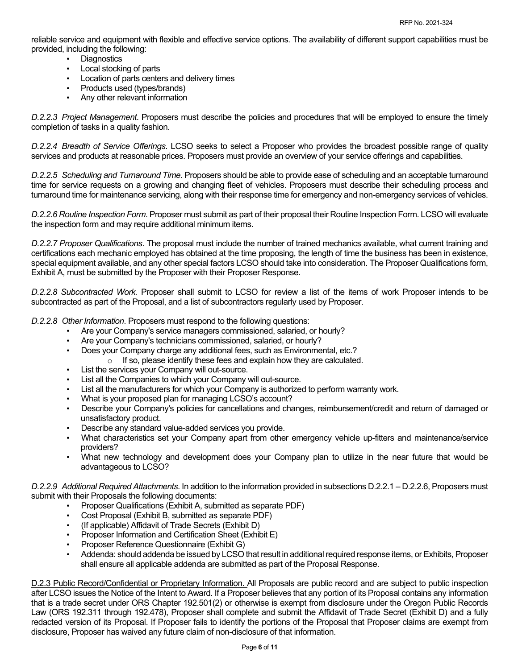reliable service and equipment with flexible and effective service options. The availability of different support capabilities must be provided, including the following:

- **Diagnostics**
- Local stocking of parts
- Location of parts centers and delivery times
- Products used (types/brands)
- Any other relevant information

*D.2.2.3 Project Management*. Proposers must describe the policies and procedures that will be employed to ensure the timely completion of tasks in a quality fashion.

*D.2.2.4 Breadth of Service Offerings*. LCSO seeks to select a Proposer who provides the broadest possible range of quality services and products at reasonable prices. Proposers must provide an overview of your service offerings and capabilities.

*D.2.2.5 Scheduling and Turnaround Time.* Proposers should be able to provide ease of scheduling and an acceptable turnaround time for service requests on a growing and changing fleet of vehicles. Proposers must describe their scheduling process and turnaround time for maintenance servicing, along with their response time for emergency and non-emergency services of vehicles.

*D.2.2.6 Routine Inspection Form*. Proposer must submit as part of their proposal their Routine Inspection Form. LCSO will evaluate the inspection form and may require additional minimum items.

*D.2.2.7 Proposer Qualifications*. The proposal must include the number of trained mechanics available, what current training and certifications each mechanic employed has obtained at the time proposing, the length of time the business has been in existence, special equipment available, and any other special factors LCSO should take into consideration. The Proposer Qualifications form, Exhibit A, must be submitted by the Proposer with their Proposer Response.

*D.2.2.8 Subcontracted Work.* Proposer shall submit to LCSO for review a list of the items of work Proposer intends to be subcontracted as part of the Proposal, and a list of subcontractors regularly used by Proposer.

*D.2.2.8 Other Information*. Proposers must respond to the following questions:

- Are your Company's service managers commissioned, salaried, or hourly?
- Are your Company's technicians commissioned, salaried, or hourly?
- Does your Company charge any additional fees, such as Environmental, etc.?
	- o If so, please identify these fees and explain how they are calculated.
	- List the services your Company will out-source.
- List all the Companies to which your Company will out-source.
- List all the manufacturers for which your Company is authorized to perform warranty work.
- What is your proposed plan for managing LCSO's account?
- Describe your Company's policies for cancellations and changes, reimbursement/credit and return of damaged or unsatisfactory product.
- Describe any standard value-added services you provide.
- What characteristics set your Company apart from other emergency vehicle up-fitters and maintenance/service providers?
- What new technology and development does your Company plan to utilize in the near future that would be advantageous to LCSO?

*D.2.2.9 Additional Required Attachments*. In addition to the information provided in subsections D.2.2.1 – D.2.2.6, Proposers must submit with their Proposals the following documents:

- Proposer Qualifications (Exhibit A, submitted as separate PDF)
- Cost Proposal (Exhibit B, submitted as separate PDF)
- (If applicable) Affidavit of Trade Secrets (Exhibit D)
- Proposer Information and Certification Sheet (Exhibit E)
- Proposer Reference Questionnaire (Exhibit G)
- Addenda: should addenda be issued by LCSO that result in additional required response items, or Exhibits, Proposer shall ensure all applicable addenda are submitted as part of the Proposal Response.

D.2.3 Public Record/Confidential or Proprietary Information. All Proposals are public record and are subject to public inspection after LCSO issues the Notice of the Intent to Award. If a Proposer believes that any portion of its Proposal contains any information that is a trade secret under ORS Chapter 192.501(2) or otherwise is exempt from disclosure under the Oregon Public Records Law (ORS 192.311 through 192.478), Proposer shall complete and submit the Affidavit of Trade Secret (Exhibit D) and a fully redacted version of its Proposal. If Proposer fails to identify the portions of the Proposal that Proposer claims are exempt from disclosure, Proposer has waived any future claim of non-disclosure of that information.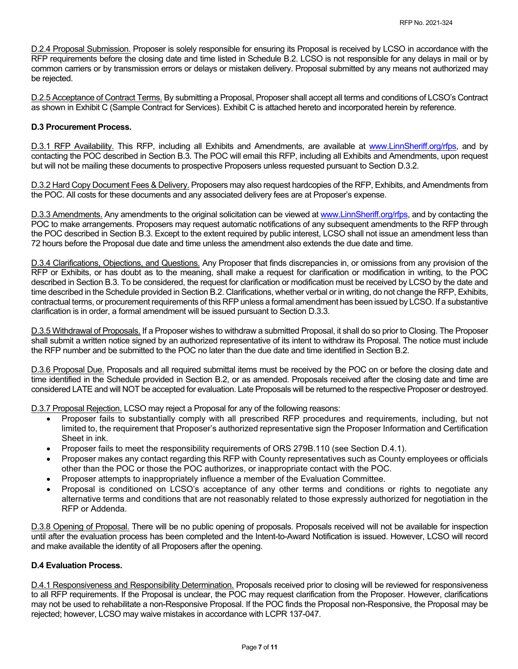D.2.4 Proposal Submission. Proposer is solely responsible for ensuring its Proposal is received by LCSO in accordance with the RFP requirements before the closing date and time listed in Schedule B.2. LCSO is not responsible for any delays in mail or by common carriers or by transmission errors or delays or mistaken delivery. Proposal submitted by any means not authorized may be rejected.

D.2.5 Acceptance of Contract Terms. By submitting a Proposal, Proposer shall accept all terms and conditions of LCSO's Contract as shown in Exhibit C (Sample Contract for Services). Exhibit C is attached hereto and incorporated herein by reference.

#### **D.3 Procurement Process.**

D.3.1 RFP Availability. This RFP, including all Exhibits and Amendments, are available at www.LinnSheriff.org/rfps, and by contacting the POC described in Section B.3. The POC will email this RFP, including all Exhibits and Amendments, upon request but will not be mailing these documents to prospective Proposers unless requested pursuant to Section D.3.2.

D.3.2 Hard Copy Document Fees & Delivery. Proposers may also request hardcopies of the RFP, Exhibits, and Amendments from the POC. All costs for these documents and any associated delivery fees are at Proposer's expense.

D.3.3 Amendments. Any amendments to the original solicitation can be viewed at www.LinnSheriff.org/rfps, and by contacting the POC to make arrangements. Proposers may request automatic notifications of any subsequent amendments to the RFP through the POC described in Section B.3. Except to the extent required by public interest, LCSO shall not issue an amendment less than 72 hours before the Proposal due date and time unless the amendment also extends the due date and time.

D.3.4 Clarifications, Objections, and Questions. Any Proposer that finds discrepancies in, or omissions from any provision of the RFP or Exhibits, or has doubt as to the meaning, shall make a request for clarification or modification in writing, to the POC described in Section B.3. To be considered, the request for clarification or modification must be received by LCSO by the date and time described in the Schedule provided in Section B.2. Clarifications, whether verbal or in writing, do not change the RFP, Exhibits, contractual terms, or procurement requirements of this RFP unless a formal amendment has been issued by LCSO. If a substantive clarification is in order, a formal amendment will be issued pursuant to Section D.3.3.

D.3.5 Withdrawal of Proposals. If a Proposer wishes to withdraw a submitted Proposal, it shall do so prior to Closing. The Proposer shall submit a written notice signed by an authorized representative of its intent to withdraw its Proposal. The notice must include the RFP number and be submitted to the POC no later than the due date and time identified in Section B.2.

D.3.6 Proposal Due. Proposals and all required submittal items must be received by the POC on or before the closing date and time identified in the Schedule provided in Section B.2, or as amended. Proposals received after the closing date and time are considered LATE and will NOT be accepted for evaluation. Late Proposals will be returned to the respective Proposer or destroyed.

D.3.7 Proposal Rejection. LCSO may reject a Proposal for any of the following reasons:

- Proposer fails to substantially comply with all prescribed RFP procedures and requirements, including, but not limited to, the requirement that Proposer's authorized representative sign the Proposer Information and Certification Sheet in ink.
- Proposer fails to meet the responsibility requirements of ORS 279B.110 (see Section D.4.1).
- Proposer makes any contact regarding this RFP with County representatives such as County employees or officials other than the POC or those the POC authorizes, or inappropriate contact with the POC.
- Proposer attempts to inappropriately influence a member of the Evaluation Committee.
- Proposal is conditioned on LCSO's acceptance of any other terms and conditions or rights to negotiate any alternative terms and conditions that are not reasonably related to those expressly authorized for negotiation in the RFP or Addenda.

D.3.8 Opening of Proposal. There will be no public opening of proposals. Proposals received will not be available for inspection until after the evaluation process has been completed and the Intent-to-Award Notification is issued. However, LCSO will record and make available the identity of all Proposers after the opening.

#### **D.4 Evaluation Process.**

D.4.1 Responsiveness and Responsibility Determination. Proposals received prior to closing will be reviewed for responsiveness to all RFP requirements. If the Proposal is unclear, the POC may request clarification from the Proposer. However, clarifications may not be used to rehabilitate a non-Responsive Proposal. If the POC finds the Proposal non-Responsive, the Proposal may be rejected; however, LCSO may waive mistakes in accordance with LCPR 137-047.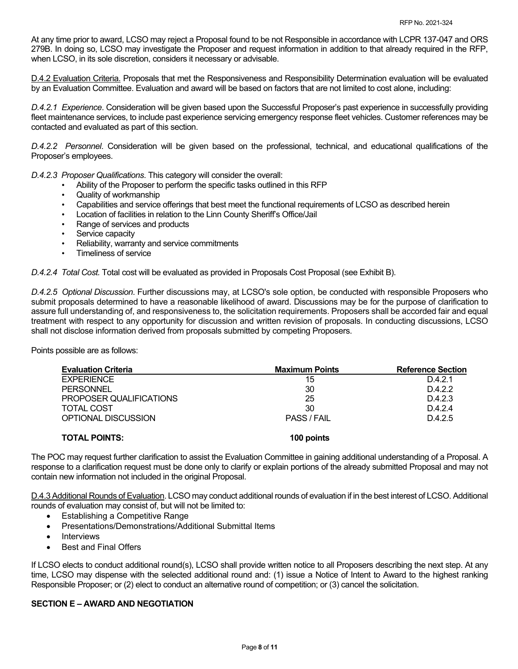At any time prior to award, LCSO may reject a Proposal found to be not Responsible in accordance with LCPR 137-047 and ORS 279B. In doing so, LCSO may investigate the Proposer and request information in addition to that already required in the RFP, when LCSO, in its sole discretion, considers it necessary or advisable.

D.4.2 Evaluation Criteria. Proposals that met the Responsiveness and Responsibility Determination evaluation will be evaluated by an Evaluation Committee. Evaluation and award will be based on factors that are not limited to cost alone, including:

*D.4.2.1 Experience*. Consideration will be given based upon the Successful Proposer's past experience in successfully providing fleet maintenance services, to include past experience servicing emergency response fleet vehicles. Customer references may be contacted and evaluated as part of this section.

*D.4.2.2 Personnel*. Consideration will be given based on the professional, technical, and educational qualifications of the Proposer's employees.

*D.4.2.3 Proposer Qualifications*. This category will consider the overall:

- Ability of the Proposer to perform the specific tasks outlined in this RFP
- Quality of workmanship
- Capabilities and service offerings that best meet the functional requirements of LCSO as described herein
- Location of facilities in relation to the Linn County Sheriff's Office/Jail
- Range of services and products
- Service capacity
- Reliability, warranty and service commitments
- Timeliness of service

*D.4.2.4 Total Cost.* Total cost will be evaluated as provided in Proposals Cost Proposal (see Exhibit B).

*D.4.2.5 Optional Discussion*. Further discussions may, at LCSO's sole option, be conducted with responsible Proposers who submit proposals determined to have a reasonable likelihood of award. Discussions may be for the purpose of clarification to assure full understanding of, and responsiveness to, the solicitation requirements. Proposers shall be accorded fair and equal treatment with respect to any opportunity for discussion and written revision of proposals. In conducting discussions, LCSO shall not disclose information derived from proposals submitted by competing Proposers.

Points possible are as follows:

| <b>Evaluation Criteria</b> | <b>Maximum Points</b> | <b>Reference Section</b> |
|----------------------------|-----------------------|--------------------------|
| <b>EXPERIENCE</b>          | 15                    | D.4.2.1                  |
| <b>PERSONNEL</b>           | 30                    | D.4.2.2                  |
| PROPOSER QUALIFICATIONS    | 25                    | D.4.2.3                  |
| <b>TOTAL COST</b>          | 30                    | D.4.2.4                  |
| OPTIONAL DISCUSSION        | PASS / FAIL           | D.4.2.5                  |
| ----- ------               | $\mathbf{A}$          |                          |

#### **TOTAL POINTS: 100 points**

The POC may request further clarification to assist the Evaluation Committee in gaining additional understanding of a Proposal. A response to a clarification request must be done only to clarify or explain portions of the already submitted Proposal and may not contain new information not included in the original Proposal.

D.4.3 Additional Rounds of Evaluation. LCSO may conduct additional rounds of evaluation if in the best interest of LCSO. Additional rounds of evaluation may consist of, but will not be limited to:

- Establishing a Competitive Range
- Presentations/Demonstrations/Additional Submittal Items
- **Interviews**
- Best and Final Offers

If LCSO elects to conduct additional round(s), LCSO shall provide written notice to all Proposers describing the next step. At any time, LCSO may dispense with the selected additional round and: (1) issue a Notice of Intent to Award to the highest ranking Responsible Proposer; or (2) elect to conduct an alternative round of competition; or (3) cancel the solicitation.

#### **SECTION E – AWARD AND NEGOTIATION**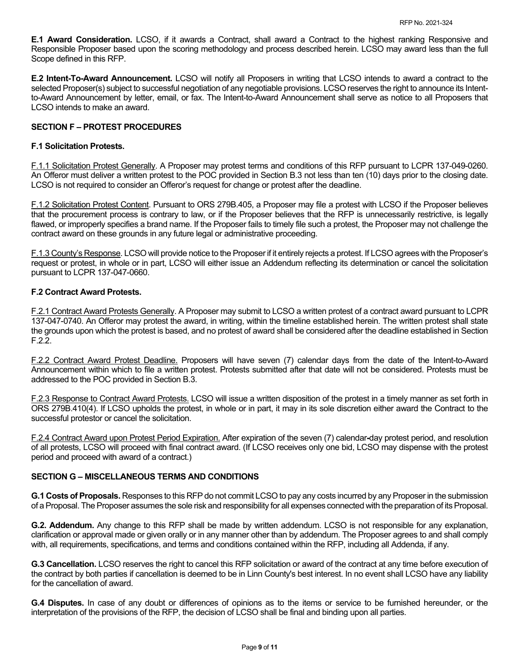**E.1 Award Consideration.** LCSO, if it awards a Contract, shall award a Contract to the highest ranking Responsive and Responsible Proposer based upon the scoring methodology and process described herein. LCSO may award less than the full Scope defined in this RFP.

**E.2 Intent-To-Award Announcement.** LCSO will notify all Proposers in writing that LCSO intends to award a contract to the selected Proposer(s) subject to successful negotiation of any negotiable provisions. LCSO reserves the right to announce its Intentto-Award Announcement by letter, email, or fax. The Intent-to-Award Announcement shall serve as notice to all Proposers that LCSO intends to make an award.

#### **SECTION F – PROTEST PROCEDURES**

#### **F.1 Solicitation Protests.**

F.1.1 Solicitation Protest Generally. A Proposer may protest terms and conditions of this RFP pursuant to LCPR 137-049-0260. An Offeror must deliver a written protest to the POC provided in Section B.3 not less than ten (10) days prior to the closing date. LCSO is not required to consider an Offeror's request for change or protest after the deadline.

F.1.2 Solicitation Protest Content. Pursuant to ORS 279B.405, a Proposer may file a protest with LCSO if the Proposer believes that the procurement process is contrary to law, or if the Proposer believes that the RFP is unnecessarily restrictive, is legally flawed, or improperly specifies a brand name. If the Proposer fails to timely file such a protest, the Proposer may not challenge the contract award on these grounds in any future legal or administrative proceeding.

F.1.3 County's Response. LCSO will provide notice to the Proposer if it entirely rejects a protest. If LCSO agrees with the Proposer's request or protest, in whole or in part, LCSO will either issue an Addendum reflecting its determination or cancel the solicitation pursuant to LCPR 137-047-0660.

#### **F.2 Contract Award Protests.**

F.2.1 Contract Award Protests Generally. A Proposer may submit to LCSO a written protest of a contract award pursuant to LCPR 137-047-0740. An Offeror may protest the award, in writing, within the timeline established herein. The written protest shall state the grounds upon which the protest is based, and no protest of award shall be considered after the deadline established in Section F.2.2.

F.2.2 Contract Award Protest Deadline. Proposers will have seven (7) calendar days from the date of the Intent-to-Award Announcement within which to file a written protest. Protests submitted after that date will not be considered. Protests must be addressed to the POC provided in Section B.3.

F.2.3 Response to Contract Award Protests. LCSO will issue a written disposition of the protest in a timely manner as set forth in ORS 279B.410(4). If LCSO upholds the protest, in whole or in part, it may in its sole discretion either award the Contract to the successful protestor or cancel the solicitation.

F.2.4 Contract Award upon Protest Period Expiration. After expiration of the seven (7) calendar**-**day protest period, and resolution of all protests, LCSO will proceed with final contract award. (If LCSO receives only one bid, LCSO may dispense with the protest period and proceed with award of a contract.)

#### **SECTION G – MISCELLANEOUS TERMS AND CONDITIONS**

**G.1 Costs of Proposals.** Responses to this RFP do not commit LCSO to pay any costs incurred by any Proposer in the submission of a Proposal. The Proposer assumes the sole risk and responsibility for all expenses connected with the preparation of its Proposal.

**G.2. Addendum.** Any change to this RFP shall be made by written addendum. LCSO is not responsible for any explanation, clarification or approval made or given orally or in any manner other than by addendum. The Proposer agrees to and shall comply with, all requirements, specifications, and terms and conditions contained within the RFP, including all Addenda, if any.

**G.3 Cancellation.** LCSO reserves the right to cancel this RFP solicitation or award of the contract at any time before execution of the contract by both parties if cancellation is deemed to be in Linn County's best interest. In no event shall LCSO have any liability for the cancellation of award.

**G.4 Disputes.** In case of any doubt or differences of opinions as to the items or service to be furnished hereunder, or the interpretation of the provisions of the RFP, the decision of LCSO shall be final and binding upon all parties.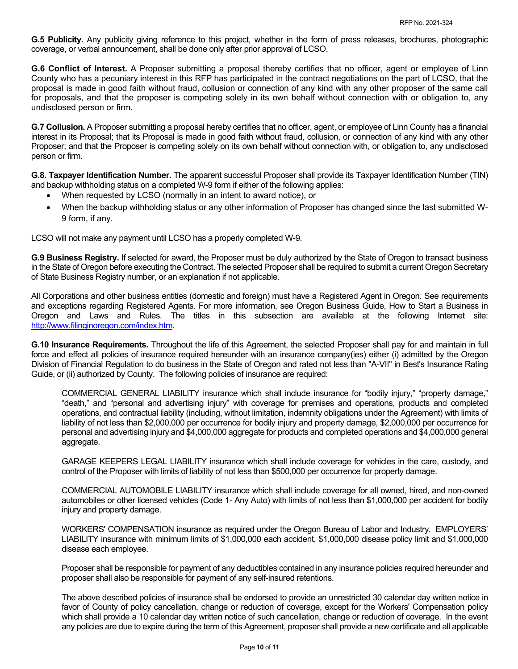**G.5 Publicity.** Any publicity giving reference to this project, whether in the form of press releases, brochures, photographic coverage, or verbal announcement, shall be done only after prior approval of LCSO.

**G.6 Conflict of Interest.** A Proposer submitting a proposal thereby certifies that no officer, agent or employee of Linn County who has a pecuniary interest in this RFP has participated in the contract negotiations on the part of LCSO, that the proposal is made in good faith without fraud, collusion or connection of any kind with any other proposer of the same call for proposals, and that the proposer is competing solely in its own behalf without connection with or obligation to, any undisclosed person or firm.

**G.7 Collusion.** A Proposer submitting a proposal hereby certifies that no officer, agent, or employee of Linn County has a financial interest in its Proposal; that its Proposal is made in good faith without fraud, collusion, or connection of any kind with any other Proposer; and that the Proposer is competing solely on its own behalf without connection with, or obligation to, any undisclosed person or firm.

**G.8. Taxpayer Identification Number.** The apparent successful Proposer shall provide its Taxpayer Identification Number (TIN) and backup withholding status on a completed W-9 form if either of the following applies:

- When requested by LCSO (normally in an intent to award notice), or
- When the backup withholding status or any other information of Proposer has changed since the last submitted W-9 form, if any.

LCSO will not make any payment until LCSO has a properly completed W-9.

**G.9 Business Registry.** If selected for award, the Proposer must be duly authorized by the State of Oregon to transact business in the State of Oregon before executing the Contract. The selected Proposer shall be required to submit a current Oregon Secretary of State Business Registry number, or an explanation if not applicable.

All Corporations and other business entities (domestic and foreign) must have a Registered Agent in Oregon. See requirements and exceptions regarding Registered Agents. For more information, see Oregon Business Guide, How to Start a Business in Oregon and Laws and Rules. The titles in this subsection are available at the following Internet site: http://www.filinginoregon.com/index.htm.

**G.10 Insurance Requirements.** Throughout the life of this Agreement, the selected Proposer shall pay for and maintain in full force and effect all policies of insurance required hereunder with an insurance company(ies) either (i) admitted by the Oregon Division of Financial Regulation to do business in the State of Oregon and rated not less than "A-VII" in Best's Insurance Rating Guide, or (ii) authorized by County. The following policies of insurance are required:

COMMERCIAL GENERAL LIABILITY insurance which shall include insurance for "bodily injury," "property damage," "death," and "personal and advertising injury" with coverage for premises and operations, products and completed operations, and contractual liability (including, without limitation, indemnity obligations under the Agreement) with limits of liability of not less than \$2,000,000 per occurrence for bodily injury and property damage, \$2,000,000 per occurrence for personal and advertising injury and \$4,000,000 aggregate for products and completed operations and \$4,000,000 general aggregate.

GARAGE KEEPERS LEGAL LIABILITY insurance which shall include coverage for vehicles in the care, custody, and control of the Proposer with limits of liability of not less than \$500,000 per occurrence for property damage.

COMMERCIAL AUTOMOBILE LIABILITY insurance which shall include coverage for all owned, hired, and non-owned automobiles or other licensed vehicles (Code 1- Any Auto) with limits of not less than \$1,000,000 per accident for bodily injury and property damage.

WORKERS' COMPENSATION insurance as required under the Oregon Bureau of Labor and Industry. EMPLOYERS' LIABILITY insurance with minimum limits of \$1,000,000 each accident, \$1,000,000 disease policy limit and \$1,000,000 disease each employee.

Proposer shall be responsible for payment of any deductibles contained in any insurance policies required hereunder and proposer shall also be responsible for payment of any self-insured retentions.

The above described policies of insurance shall be endorsed to provide an unrestricted 30 calendar day written notice in favor of County of policy cancellation, change or reduction of coverage, except for the Workers' Compensation policy which shall provide a 10 calendar day written notice of such cancellation, change or reduction of coverage. In the event any policies are due to expire during the term of this Agreement, proposer shall provide a new certificate and all applicable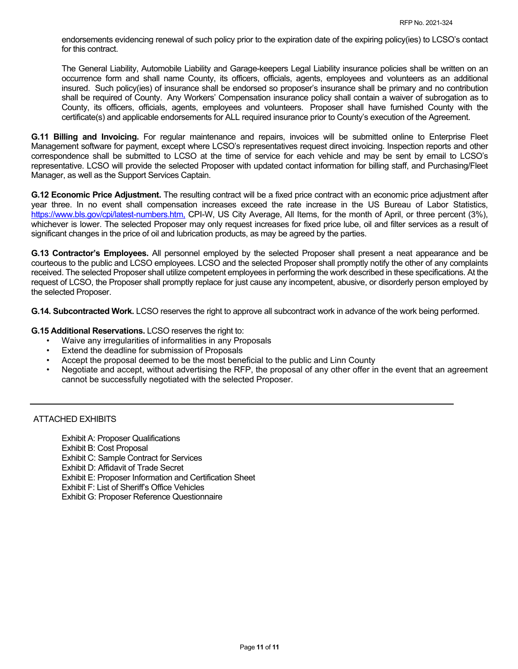endorsements evidencing renewal of such policy prior to the expiration date of the expiring policy(ies) to LCSO's contact for this contract.

The General Liability, Automobile Liability and Garage-keepers Legal Liability insurance policies shall be written on an occurrence form and shall name County, its officers, officials, agents, employees and volunteers as an additional insured. Such policy(ies) of insurance shall be endorsed so proposer's insurance shall be primary and no contribution shall be required of County. Any Workers' Compensation insurance policy shall contain a waiver of subrogation as to County, its officers, officials, agents, employees and volunteers. Proposer shall have furnished County with the certificate(s) and applicable endorsements for ALL required insurance prior to County's execution of the Agreement.

**G.11 Billing and Invoicing.** For regular maintenance and repairs, invoices will be submitted online to Enterprise Fleet Management software for payment, except where LCSO's representatives request direct invoicing. Inspection reports and other correspondence shall be submitted to LCSO at the time of service for each vehicle and may be sent by email to LCSO's representative. LCSO will provide the selected Proposer with updated contact information for billing staff, and Purchasing/Fleet Manager, as well as the Support Services Captain.

**G.12 Economic Price Adjustment.** The resulting contract will be a fixed price contract with an economic price adjustment after year three. In no event shall compensation increases exceed the rate increase in the US Bureau of Labor Statistics, https://www.bls.gov/cpi/latest-numbers.htm, CPI-W, US City Average, All Items, for the month of April, or three percent (3%), whichever is lower. The selected Proposer may only request increases for fixed price lube, oil and filter services as a result of significant changes in the price of oil and lubrication products, as may be agreed by the parties.

**G.13 Contractor's Employees.** All personnel employed by the selected Proposer shall present a neat appearance and be courteous to the public and LCSO employees. LCSO and the selected Proposer shall promptly notify the other of any complaints received. The selected Proposer shall utilize competent employees in performing the work described in these specifications. At the request of LCSO, the Proposer shall promptly replace for just cause any incompetent, abusive, or disorderly person employed by the selected Proposer.

**G.14. Subcontracted Work.** LCSO reserves the right to approve all subcontract work in advance of the work being performed.

#### **G.15 Additional Reservations.** LCSO reserves the right to:

- Waive any irregularities of informalities in any Proposals
- Extend the deadline for submission of Proposals
- Accept the proposal deemed to be the most beneficial to the public and Linn County
- Negotiate and accept, without advertising the RFP, the proposal of any other offer in the event that an agreement cannot be successfully negotiated with the selected Proposer.

#### ATTACHED EXHIBITS

Exhibit A: Proposer Qualifications Exhibit B: Cost Proposal Exhibit C: Sample Contract for Services Exhibit D: Affidavit of Trade Secret Exhibit E: Proposer Information and Certification Sheet Exhibit F: List of Sheriff's Office Vehicles Exhibit G: Proposer Reference Questionnaire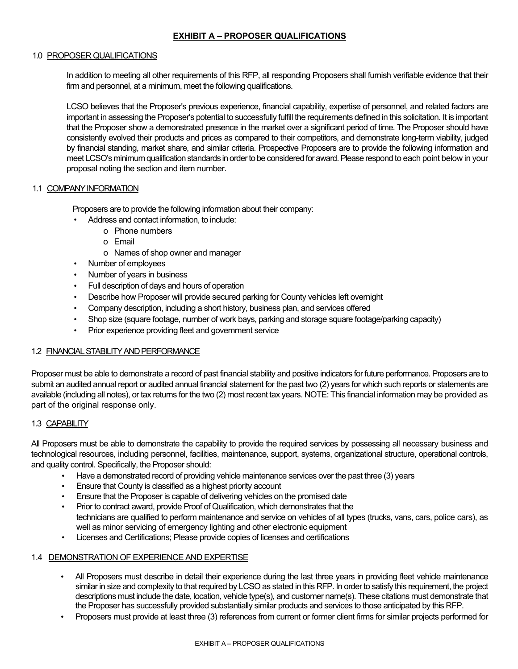#### **EXHIBIT A – PROPOSER QUALIFICATIONS**

#### 1.0 PROPOSER QUALIFICATIONS

In addition to meeting all other requirements of this RFP, all responding Proposers shall furnish verifiable evidence that their firm and personnel, at a minimum, meet the following qualifications.

LCSO believes that the Proposer's previous experience, financial capability, expertise of personnel, and related factors are important in assessing the Proposer's potential to successfully fulfill the requirements defined in this solicitation. It is important that the Proposer show a demonstrated presence in the market over a significant period of time. The Proposer should have consistently evolved their products and prices as compared to their competitors, and demonstrate long-term viability, judged by financial standing, market share, and similar criteria. Prospective Proposers are to provide the following information and meet LCSO's minimum qualification standards in order to be considered for award. Please respond to each point below in your proposal noting the section and item number.

#### 1.1 COMPANY INFORMATION

Proposers are to provide the following information about their company:

- Address and contact information, to include:
	- o Phone numbers
	- o Email
	- o Names of shop owner and manager
- Number of employees
- Number of years in business
- Full description of days and hours of operation
- Describe how Proposer will provide secured parking for County vehicles left overnight
- Company description, including a short history, business plan, and services offered
- Shop size (square footage, number of work bays, parking and storage square footage/parking capacity)
- Prior experience providing fleet and government service

#### 1.2 FINANCIAL STABILITY AND PERFORMANCE

Proposer must be able to demonstrate a record of past financial stability and positive indicators for future performance. Proposers are to submit an audited annual report or audited annual financial statement for the past two (2) years for which such reports or statements are available (including all notes), or tax returns for the two (2) most recent tax years. NOTE: This financial information may be provided as part of the original response only.

#### 1.3 CAPABILITY

All Proposers must be able to demonstrate the capability to provide the required services by possessing all necessary business and technological resources, including personnel, facilities, maintenance, support, systems, organizational structure, operational controls, and quality control. Specifically, the Proposer should:

- Have a demonstrated record of providing vehicle maintenance services over the past three (3) years
- Ensure that County is classified as a highest priority account
- Ensure that the Proposer is capable of delivering vehicles on the promised date
- Prior to contract award, provide Proof of Qualification, which demonstrates that the technicians are qualified to perform maintenance and service on vehicles of all types (trucks, vans, cars, police cars), as well as minor servicing of emergency lighting and other electronic equipment
- Licenses and Certifications; Please provide copies of licenses and certifications

#### 1.4 DEMONSTRATION OF EXPERIENCE AND EXPERTISE

- All Proposers must describe in detail their experience during the last three years in providing fleet vehicle maintenance similar in size and complexity to that required by LCSO as stated in this RFP. In order to satisfy this requirement, the project descriptions must include the date, location, vehicle type(s), and customer name(s). These citations must demonstrate that the Proposer has successfully provided substantially similar products and services to those anticipated by this RFP.
- Proposers must provide at least three (3) references from current or former client firms for similar projects performed for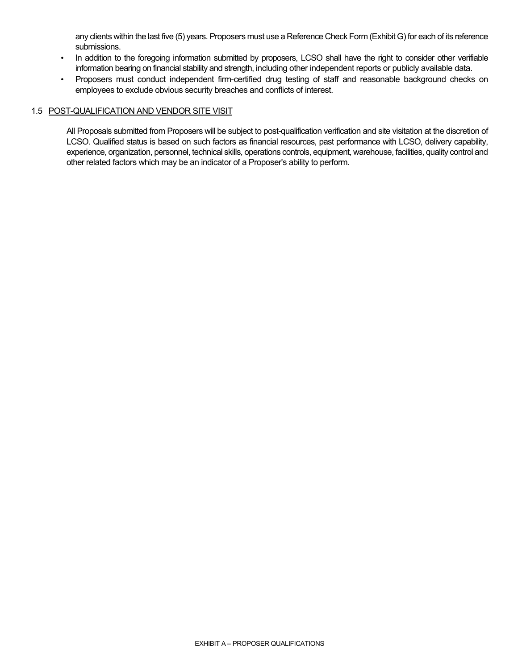any clients within the last five (5) years. Proposers must use a Reference Check Form (Exhibit G) for each of its reference submissions.

- In addition to the foregoing information submitted by proposers, LCSO shall have the right to consider other verifiable information bearing on financial stability and strength, including other independent reports or publicly available data.
- Proposers must conduct independent firm-certified drug testing of staff and reasonable background checks on employees to exclude obvious security breaches and conflicts of interest.

#### 1.5 POST-QUALIFICATION AND VENDOR SITE VISIT

All Proposals submitted from Proposers will be subject to post-qualification verification and site visitation at the discretion of LCSO. Qualified status is based on such factors as financial resources, past performance with LCSO, delivery capability, experience, organization, personnel, technical skills, operations controls, equipment, warehouse, facilities, quality control and other related factors which may be an indicator of a Proposer's ability to perform.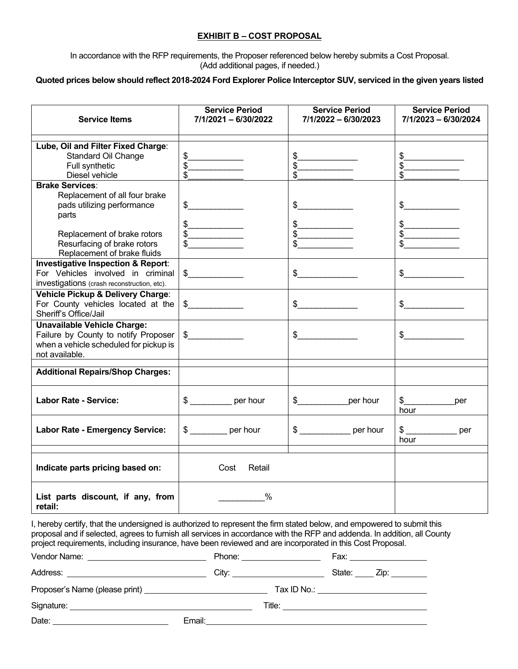#### **EXHIBIT B – COST PROPOSAL**

In accordance with the RFP requirements, the Proposer referenced below hereby submits a Cost Proposal. (Add additional pages, if needed.)

#### **Quoted prices below should reflect 2018-2024 Ford Explorer Police Interceptor SUV, serviced in the given years listed**

| <b>Service Items</b>                                                                                                                   | <b>Service Period</b><br>7/1/2021 - 6/30/2022              | <b>Service Period</b><br>7/1/2022 - 6/30/2023                                                 | <b>Service Period</b><br>7/1/2023 - 6/30/2024 |
|----------------------------------------------------------------------------------------------------------------------------------------|------------------------------------------------------------|-----------------------------------------------------------------------------------------------|-----------------------------------------------|
| Lube, Oil and Filter Fixed Charge:<br><b>Standard Oil Change</b><br>Full synthetic<br>Diesel vehicle                                   | \$<br><u> 1989 - Johann Barnett, fransk fotballs</u><br>\$ | \$<br>$\mathfrak{s}$<br>\$                                                                    | \$<br>\$<br>\$                                |
| <b>Brake Services:</b><br>Replacement of all four brake<br>pads utilizing performance<br>parts                                         | \$                                                         | $\frac{1}{2}$                                                                                 | \$<br>$\mathbb{S}$                            |
| Replacement of brake rotors<br>Resurfacing of brake rotors<br>Replacement of brake fluids                                              | $\frac{1}{2}$                                              | \$<br>$\mathcal{L}^{\text{max}}_{\text{max}}$ , where $\mathcal{L}^{\text{max}}_{\text{max}}$ | $\mathfrak{S}^-$<br><u>.</u><br>\$.           |
| <b>Investigative Inspection &amp; Report:</b><br>For Vehicles involved in criminal<br>investigations (crash reconstruction, etc).      | $\frac{1}{2}$                                              | $\frac{1}{2}$                                                                                 | $\frac{1}{2}$                                 |
| Vehicle Pickup & Delivery Charge:<br>For County vehicles located at the<br>Sheriff's Office/Jail                                       | $\frac{1}{2}$                                              | $\frac{1}{2}$                                                                                 | $\frac{1}{2}$                                 |
| <b>Unavailable Vehicle Charge:</b><br>Failure by County to notify Proposer<br>when a vehicle scheduled for pickup is<br>not available. | $\frac{1}{2}$                                              | $\sim$                                                                                        | $\mathsf{\$}$                                 |
| <b>Additional Repairs/Shop Charges:</b>                                                                                                |                                                            |                                                                                               |                                               |
| <b>Labor Rate - Service:</b>                                                                                                           | \$ per hour                                                | \$ per hour                                                                                   | $\frac{1}{2}$<br>per<br>hour                  |
| <b>Labor Rate - Emergency Service:</b>                                                                                                 | $\frac{1}{2}$ per hour                                     | $\frac{1}{2}$ per hour                                                                        | $\frac{1}{2}$ per<br>hour                     |
| Indicate parts pricing based on:                                                                                                       | Cost<br>Retail                                             |                                                                                               |                                               |
| List parts discount, if any, from<br>retail:                                                                                           | $\frac{0}{0}$                                              |                                                                                               |                                               |

I, hereby certify, that the undersigned is authorized to represent the firm stated below, and empowered to submit this proposal and if selected, agrees to furnish all services in accordance with the RFP and addenda. In addition, all County project requirements, including insurance, have been reviewed and are incorporated in this Cost Proposal.

| Vendor Name: _____________________________     | Phone: <u>_________________</u> | Fax: __________________       |
|------------------------------------------------|---------------------------------|-------------------------------|
|                                                | City: _________________________ | State: $\angle$ Zip: $\angle$ |
|                                                |                                 | Tax ID No.: $\_\_$            |
|                                                |                                 |                               |
| Date: <u>_________________________________</u> |                                 |                               |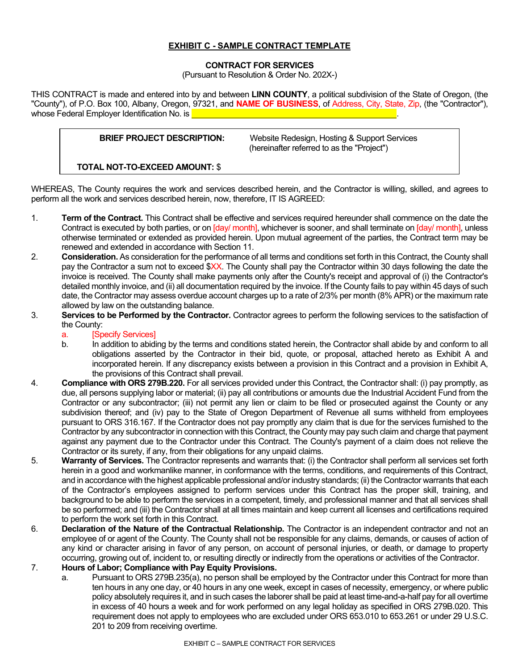#### **EXHIBIT C - SAMPLE CONTRACT TEMPLATE**

#### **CONTRACT FOR SERVICES**

(Pursuant to Resolution & Order No. 202X-)

THIS CONTRACT is made and entered into by and between **LINN COUNTY**, a political subdivision of the State of Oregon, (the "County"), of P.O. Box 100, Albany, Oregon, 97321, and **NAME OF BUSINESS**, of Address, City, State, Zip, (the "Contractor"), whose Federal Employer Identification No. is **.** 

**BRIEF PROJECT DESCRIPTION:** Website Redesign, Hosting & Support Services (hereinafter referred to as the "Project")

#### **TOTAL NOT-TO-EXCEED AMOUNT:** \$

WHEREAS, The County requires the work and services described herein, and the Contractor is willing, skilled, and agrees to perform all the work and services described herein, now, therefore, IT IS AGREED:

- 1. **Term of the Contract.** This Contract shall be effective and services required hereunder shall commence on the date the Contract is executed by both parties, or on [day/ month], whichever is sooner, and shall terminate on [day/ month], unless otherwise terminated or extended as provided herein. Upon mutual agreement of the parties, the Contract term may be renewed and extended in accordance with Section 11.
- 2. **Consideration.** As consideration for the performance of all terms and conditions set forth in this Contract, the County shall pay the Contractor a sum not to exceed \$XX. The County shall pay the Contractor within 30 days following the date the invoice is received. The County shall make payments only after the County's receipt and approval of (i) the Contractor's detailed monthly invoice, and (ii) all documentation required by the invoice. If the County fails to pay within 45 days of such date, the Contractor may assess overdue account charges up to a rate of 2/3% per month (8% APR) or the maximum rate allowed by law on the outstanding balance.
- 3. **Services to be Performed by the Contractor.** Contractor agrees to perform the following services to the satisfaction of the County:
	- a. [Specify Services]
	- b. In addition to abiding by the terms and conditions stated herein, the Contractor shall abide by and conform to all obligations asserted by the Contractor in their bid, quote, or proposal, attached hereto as Exhibit A and incorporated herein. If any discrepancy exists between a provision in this Contract and a provision in Exhibit A, the provisions of this Contract shall prevail.
- 4. **Compliance with ORS 279B.220.** For all services provided under this Contract, the Contractor shall: (i) pay promptly, as due, all persons supplying labor or material; (ii) pay all contributions or amounts due the Industrial Accident Fund from the Contractor or any subcontractor; (iii) not permit any lien or claim to be filed or prosecuted against the County or any subdivision thereof; and (iv) pay to the State of Oregon Department of Revenue all sums withheld from employees pursuant to ORS 316.167. If the Contractor does not pay promptly any claim that is due for the services furnished to the Contractor by any subcontractor in connection with this Contract, the County may pay such claim and charge that payment against any payment due to the Contractor under this Contract. The County's payment of a claim does not relieve the Contractor or its surety, if any, from their obligations for any unpaid claims.
- 5. **Warranty of Services.** The Contractor represents and warrants that: (i) the Contractor shall perform all services set forth herein in a good and workmanlike manner, in conformance with the terms, conditions, and requirements of this Contract, and in accordance with the highest applicable professional and/or industry standards; (ii) the Contractor warrants that each of the Contractor's employees assigned to perform services under this Contract has the proper skill, training, and background to be able to perform the services in a competent, timely, and professional manner and that all services shall be so performed; and (iii) the Contractor shall at all times maintain and keep current all licenses and certifications required to perform the work set forth in this Contract.
- 6. **Declaration of the Nature of the Contractual Relationship.** The Contractor is an independent contractor and not an employee of or agent of the County. The County shall not be responsible for any claims, demands, or causes of action of any kind or character arising in favor of any person, on account of personal injuries, or death, or damage to property occurring, growing out of, incident to, or resulting directly or indirectly from the operations or activities of the Contractor.

#### 7. **Hours of Labor; Compliance with Pay Equity Provisions.**

a. Pursuant to ORS 279B.235(a), no person shall be employed by the Contractor under this Contract for more than ten hours in any one day, or 40 hours in any one week, except in cases of necessity, emergency, or where public policy absolutely requires it, and in such cases the laborer shall be paid at least time-and-a-half pay for all overtime in excess of 40 hours a week and for work performed on any legal holiday as specified in ORS 279B.020. This requirement does not apply to employees who are excluded under ORS 653.010 to 653.261 or under 29 U.S.C. 201 to 209 from receiving overtime.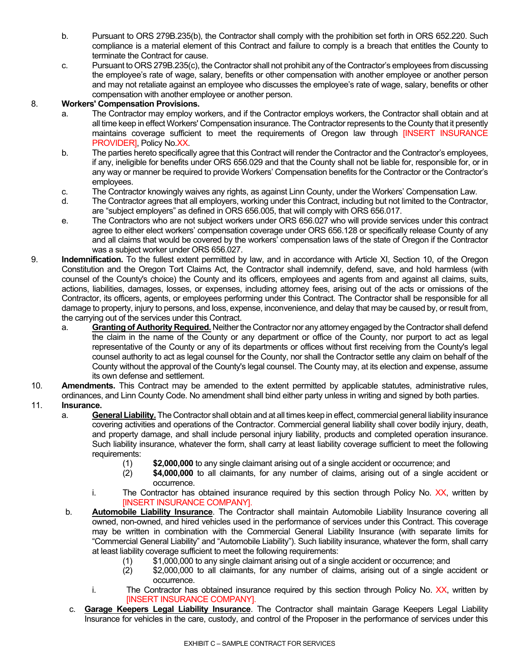- b. Pursuant to ORS 279B.235(b), the Contractor shall comply with the prohibition set forth in ORS 652.220. Such compliance is a material element of this Contract and failure to comply is a breach that entitles the County to terminate the Contract for cause.
- c. Pursuant to ORS 279B.235(c), the Contractor shall not prohibit any of the Contractor's employees from discussing the employee's rate of wage, salary, benefits or other compensation with another employee or another person and may not retaliate against an employee who discusses the employee's rate of wage, salary, benefits or other compensation with another employee or another person.

#### 8. **Workers' Compensation Provisions.**

- a. The Contractor may employ workers, and if the Contractor employs workers, the Contractor shall obtain and at all time keep in effect Workers' Compensation insurance. The Contractor represents to the County that it presently maintains coverage sufficient to meet the requirements of Oregon law through [INSERT INSURANCE PROVIDER], Policy No.XX.
- b. The parties hereto specifically agree that this Contract will render the Contractor and the Contractor's employees, if any, ineligible for benefits under ORS 656.029 and that the County shall not be liable for, responsible for, or in any way or manner be required to provide Workers' Compensation benefits for the Contractor or the Contractor's employees.
- c. The Contractor knowingly waives any rights, as against Linn County, under the Workers' Compensation Law.
- d. The Contractor agrees that all employers, working under this Contract, including but not limited to the Contractor, are "subject employers" as defined in ORS 656.005, that will comply with ORS 656.017.
- e. The Contractors who are not subject workers under ORS 656.027 who will provide services under this contract agree to either elect workers' compensation coverage under ORS 656.128 or specifically release County of any and all claims that would be covered by the workers' compensation laws of the state of Oregon if the Contractor was a subject worker under ORS 656.027.
- 9. **Indemnification.** To the fullest extent permitted by law, and in accordance with Article XI, Section 10, of the Oregon Constitution and the Oregon Tort Claims Act, the Contractor shall indemnify, defend, save, and hold harmless (with counsel of the County's choice) the County and its officers, employees and agents from and against all claims, suits, actions, liabilities, damages, losses, or expenses, including attorney fees, arising out of the acts or omissions of the Contractor, its officers, agents, or employees performing under this Contract. The Contractor shall be responsible for all damage to property, injury to persons, and loss, expense, inconvenience, and delay that may be caused by, or result from, the carrying out of the services under this Contract.
	- a. **Granting of Authority Required.** Neither the Contractor nor any attorney engaged by the Contractor shall defend the claim in the name of the County or any department or office of the County, nor purport to act as legal representative of the County or any of its departments or offices without first receiving from the County's legal counsel authority to act as legal counsel for the County, nor shall the Contractor settle any claim on behalf of the County without the approval of the County's legal counsel. The County may, at its election and expense, assume its own defense and settlement.
- 10. **Amendments.** This Contract may be amended to the extent permitted by applicable statutes, administrative rules, ordinances, and Linn County Code. No amendment shall bind either party unless in writing and signed by both parties.
- 11. **Insurance.**
	- a. **General Liability.** The Contractor shall obtain and at all times keep in effect, commercial general liability insurance covering activities and operations of the Contractor. Commercial general liability shall cover bodily injury, death, and property damage, and shall include personal injury liability, products and completed operation insurance. Such liability insurance, whatever the form, shall carry at least liability coverage sufficient to meet the following requirements:
		- (1) **\$2,000,000** to any single claimant arising out of a single accident or occurrence; and
		- (2) **\$4,000,000** to all claimants, for any number of claims, arising out of a single accident or occurrence.
		- i. The Contractor has obtained insurance required by this section through Policy No. XX, written by [INSERT INSURANCE COMPANY].
		- b. **Automobile Liability Insurance**. The Contractor shall maintain Automobile Liability Insurance covering all owned, non-owned, and hired vehicles used in the performance of services under this Contract. This coverage may be written in combination with the Commercial General Liability Insurance (with separate limits for "Commercial General Liability" and "Automobile Liability"). Such liability insurance, whatever the form, shall carry at least liability coverage sufficient to meet the following requirements:
			- (1) \$1,000,000 to any single claimant arising out of a single accident or occurrence; and
			- (2) \$2,000,000 to all claimants, for any number of claims, arising out of a single accident or occurrence.
			- i. The Contractor has obtained insurance required by this section through Policy No.  $XX$ , written by [INSERT INSURANCE COMPANY].
		- c. **Garage Keepers Legal Liability Insurance**. The Contractor shall maintain Garage Keepers Legal Liability Insurance for vehicles in the care, custody, and control of the Proposer in the performance of services under this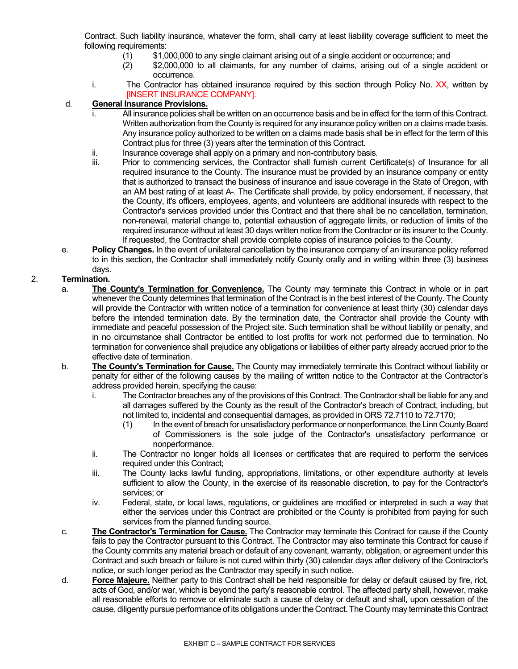Contract. Such liability insurance, whatever the form, shall carry at least liability coverage sufficient to meet the following requirements:

- 
- (1) \$1,000,000 to any single claimant arising out of a single accident or occurrence; and<br>(2) \$2,000,000 to all claimants, for any number of claims, arising out of a single a \$2,000,000 to all claimants, for any number of claims, arising out of a single accident or occurrence.
- i. The Contractor has obtained insurance required by this section through Policy No. XX, written by [INSERT INSURANCE COMPANY].

#### d. **General Insurance Provisions.**

- All insurance policies shall be written on an occurrence basis and be in effect for the term of this Contract. Written authorization from the County is required for any insurance policy written on a claims made basis. Any insurance policy authorized to be written on a claims made basis shall be in effect for the term of this Contract plus for three (3) years after the termination of this Contract.
- ii. Insurance coverage shall apply on a primary and non-contributory basis.
- iii. Prior to commencing services, the Contractor shall furnish current Certificate(s) of Insurance for all required insurance to the County. The insurance must be provided by an insurance company or entity that is authorized to transact the business of insurance and issue coverage in the State of Oregon, with an AM best rating of at least A-. The Certificate shall provide, by policy endorsement, if necessary, that the County, it's officers, employees, agents, and volunteers are additional insureds with respect to the Contractor's services provided under this Contract and that there shall be no cancellation, termination, non-renewal, material change to, potential exhaustion of aggregate limits, or reduction of limits of the required insurance without at least 30 days written notice from the Contractor or its insurer to the County. If requested, the Contractor shall provide complete copies of insurance policies to the County.
- e. **Policy Changes.** In the event of unilateral cancellation by the insurance company of an insurance policy referred to in this section, the Contractor shall immediately notify County orally and in writing within three (3) business days.

### 2. **Termination.**

- a. **The County's Termination for Convenience.** The County may terminate this Contract in whole or in part whenever the County determines that termination of the Contract is in the best interest of the County. The County will provide the Contractor with written notice of a termination for convenience at least thirty (30) calendar days before the intended termination date. By the termination date, the Contractor shall provide the County with immediate and peaceful possession of the Project site. Such termination shall be without liability or penalty, and in no circumstance shall Contractor be entitled to lost profits for work not performed due to termination. No termination for convenience shall prejudice any obligations or liabilities of either party already accrued prior to the effective date of termination.
- b. **The County's Termination for Cause.** The County may immediately terminate this Contract without liability or penalty for either of the following causes by the mailing of written notice to the Contractor at the Contractor's address provided herein, specifying the cause:
	- i. The Contractor breaches any of the provisions of this Contract. The Contractor shall be liable for any and all damages suffered by the County as the result of the Contractor's breach of Contract, including, but not limited to, incidental and consequential damages, as provided in ORS 72.7110 to 72.7170;
		- (1) In the event of breach for unsatisfactory performance or nonperformance, the Linn County Board of Commissioners is the sole judge of the Contractor's unsatisfactory performance or nonperformance.
	- ii. The Contractor no longer holds all licenses or certificates that are required to perform the services required under this Contract;
	- iii. The County lacks lawful funding, appropriations, limitations, or other expenditure authority at levels sufficient to allow the County, in the exercise of its reasonable discretion, to pay for the Contractor's services; or
	- iv. Federal, state, or local laws, regulations, or guidelines are modified or interpreted in such a way that either the services under this Contract are prohibited or the County is prohibited from paying for such services from the planned funding source.
- c. **The Contractor's Termination for Cause.** The Contractor may terminate this Contract for cause if the County fails to pay the Contractor pursuant to this Contract. The Contractor may also terminate this Contract for cause if the County commits any material breach or default of any covenant, warranty, obligation, or agreement under this Contract and such breach or failure is not cured within thirty (30) calendar days after delivery of the Contractor's notice, or such longer period as the Contractor may specify in such notice.
- d. **Force Majeure.** Neither party to this Contract shall be held responsible for delay or default caused by fire, riot, acts of God, and/or war, which is beyond the party's reasonable control. The affected party shall, however, make all reasonable efforts to remove or eliminate such a cause of delay or default and shall, upon cessation of the cause, diligently pursue performance of its obligations under the Contract. The County may terminate this Contract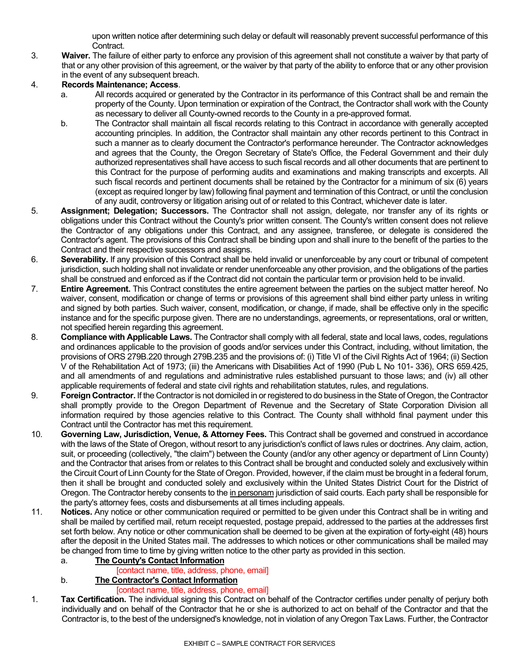upon written notice after determining such delay or default will reasonably prevent successful performance of this Contract.

3. **Waiver.** The failure of either party to enforce any provision of this agreement shall not constitute a waiver by that party of that or any other provision of this agreement, or the waiver by that party of the ability to enforce that or any other provision in the event of any subsequent breach.

#### 4. **Records Maintenance; Access**.

- a. All records acquired or generated by the Contractor in its performance of this Contract shall be and remain the property of the County. Upon termination or expiration of the Contract, the Contractor shall work with the County as necessary to deliver all County-owned records to the County in a pre-approved format.
- b. The Contractor shall maintain all fiscal records relating to this Contract in accordance with generally accepted accounting principles. In addition, the Contractor shall maintain any other records pertinent to this Contract in such a manner as to clearly document the Contractor's performance hereunder. The Contractor acknowledges and agrees that the County, the Oregon Secretary of State's Office, the Federal Government and their duly authorized representatives shall have access to such fiscal records and all other documents that are pertinent to this Contract for the purpose of performing audits and examinations and making transcripts and excerpts. All such fiscal records and pertinent documents shall be retained by the Contractor for a minimum of six (6) years (except as required longer by law) following final payment and termination of this Contract, or until the conclusion of any audit, controversy or litigation arising out of or related to this Contract, whichever date is later.
- 5. **Assignment; Delegation; Successors.** The Contractor shall not assign, delegate, nor transfer any of its rights or obligations under this Contract without the County's prior written consent. The County's written consent does not relieve the Contractor of any obligations under this Contract, and any assignee, transferee, or delegate is considered the Contractor's agent. The provisions of this Contract shall be binding upon and shall inure to the benefit of the parties to the Contract and their respective successors and assigns.
- 6. **Severability.** If any provision of this Contract shall be held invalid or unenforceable by any court or tribunal of competent jurisdiction, such holding shall not invalidate or render unenforceable any other provision, and the obligations of the parties shall be construed and enforced as if the Contract did not contain the particular term or provision held to be invalid.
- 7. **Entire Agreement.** This Contract constitutes the entire agreement between the parties on the subject matter hereof. No waiver, consent, modification or change of terms or provisions of this agreement shall bind either party unless in writing and signed by both parties. Such waiver, consent, modification, or change, if made, shall be effective only in the specific instance and for the specific purpose given. There are no understandings, agreements, or representations, oral or written, not specified herein regarding this agreement.
- 8. **Compliance with Applicable Laws.** The Contractor shall comply with all federal, state and local laws, codes, regulations and ordinances applicable to the provision of goods and/or services under this Contract, including, without limitation, the provisions of ORS 279B.220 through 279B.235 and the provisions of: (i) Title VI of the Civil Rights Act of 1964; (ii) Section V of the Rehabilitation Act of 1973; (iii) the Americans with Disabilities Act of 1990 (Pub L No 101- 336), ORS 659.425, and all amendments of and regulations and administrative rules established pursuant to those laws; and (iv) all other applicable requirements of federal and state civil rights and rehabilitation statutes, rules, and regulations.
- 9. **Foreign Contractor.** If the Contractor is not domiciled in or registered to do business in the State of Oregon, the Contractor shall promptly provide to the Oregon Department of Revenue and the Secretary of State Corporation Division all information required by those agencies relative to this Contract. The County shall withhold final payment under this Contract until the Contractor has met this requirement.
- 10. **Governing Law, Jurisdiction, Venue, & Attorney Fees.** This Contract shall be governed and construed in accordance with the laws of the State of Oregon, without resort to any jurisdiction's conflict of laws rules or doctrines. Any claim, action, suit, or proceeding (collectively, "the claim") between the County (and/or any other agency or department of Linn County) and the Contractor that arises from or relates to this Contract shall be brought and conducted solely and exclusively within the Circuit Court of Linn County for the State of Oregon. Provided, however, if the claim must be brought in a federal forum, then it shall be brought and conducted solely and exclusively within the United States District Court for the District of Oregon. The Contractor hereby consents to the in personam jurisdiction of said courts. Each party shall be responsible for the party's attorney fees, costs and disbursements at all times including appeals.
- 11. **Notices.** Any notice or other communication required or permitted to be given under this Contract shall be in writing and shall be mailed by certified mail, return receipt requested, postage prepaid, addressed to the parties at the addresses first set forth below. Any notice or other communication shall be deemed to be given at the expiration of forty-eight (48) hours after the deposit in the United States mail. The addresses to which notices or other communications shall be mailed may be changed from time to time by giving written notice to the other party as provided in this section.

#### a. **The County's Contact Information**

#### [contact name, title, address, phone, email]

### b. **The Contractor's Contact Information**

#### [contact name, title, address, phone, email]

1. **Tax Certification.** The individual signing this Contract on behalf of the Contractor certifies under penalty of perjury both individually and on behalf of the Contractor that he or she is authorized to act on behalf of the Contractor and that the Contractor is, to the best of the undersigned's knowledge, not in violation of any Oregon Tax Laws. Further, the Contractor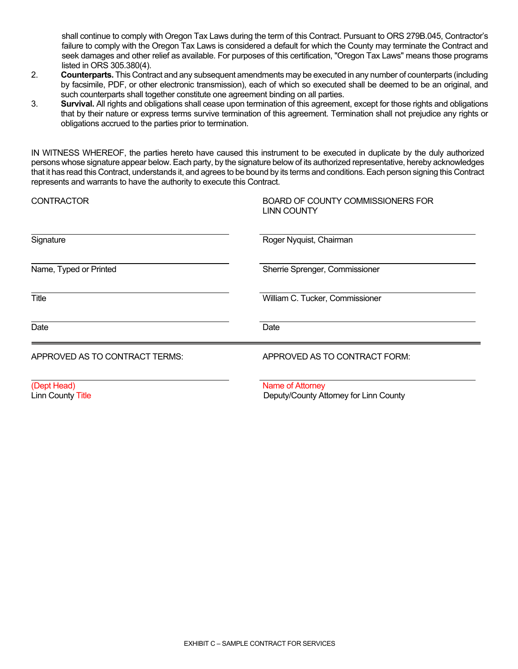shall continue to comply with Oregon Tax Laws during the term of this Contract. Pursuant to ORS 279B.045, Contractor's failure to comply with the Oregon Tax Laws is considered a default for which the County may terminate the Contract and seek damages and other relief as available. For purposes of this certification, "Oregon Tax Laws" means those programs listed in ORS 305.380(4).

- 2. **Counterparts.** This Contract and any subsequent amendments may be executed in any number of counterparts (including by facsimile, PDF, or other electronic transmission), each of which so executed shall be deemed to be an original, and such counterparts shall together constitute one agreement binding on all parties.
- 3. **Survival.** All rights and obligations shall cease upon termination of this agreement, except for those rights and obligations that by their nature or express terms survive termination of this agreement. Termination shall not prejudice any rights or obligations accrued to the parties prior to termination.

IN WITNESS WHEREOF, the parties hereto have caused this instrument to be executed in duplicate by the duly authorized persons whose signature appear below. Each party, by the signature below of its authorized representative, hereby acknowledges that it has read this Contract, understands it, and agrees to be bound by its terms and conditions. Each person signing this Contract represents and warrants to have the authority to execute this Contract.

| <b>CONTRACTOR</b>                       | BOARD OF COUNTY COMMISSIONERS FOR<br><b>LINN COUNTY</b>    |  |  |
|-----------------------------------------|------------------------------------------------------------|--|--|
| Signature                               | Roger Nyquist, Chairman                                    |  |  |
| Name, Typed or Printed                  | Sherrie Sprenger, Commissioner                             |  |  |
| Title                                   | William C. Tucker, Commissioner                            |  |  |
| Date                                    | Date                                                       |  |  |
| APPROVED AS TO CONTRACT TERMS:          | APPROVED AS TO CONTRACT FORM:                              |  |  |
| (Dept Head)<br><b>Linn County Title</b> | Name of Attorney<br>Deputy/County Attorney for Linn County |  |  |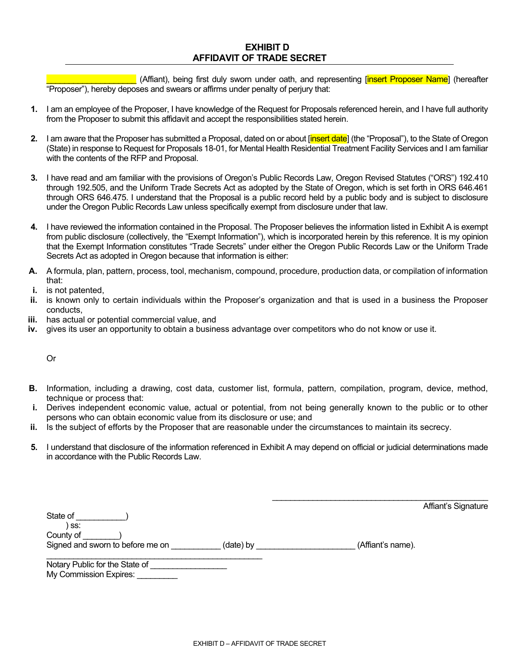#### **EXHIBIT D AFFIDAVIT OF TRADE SECRET**

\_\_\_\_\_\_\_\_\_\_\_\_\_\_\_\_\_\_\_\_ (Affiant), being first duly sworn under oath, and representing [insert Proposer Name] (hereafter "Proposer"), hereby deposes and swears or affirms under penalty of perjury that:

- **1.** I am an employee of the Proposer, I have knowledge of the Request for Proposals referenced herein, and I have full authority from the Proposer to submit this affidavit and accept the responsibilities stated herein.
- **2.** I am aware that the Proposer has submitted a Proposal, dated on or about [insert date] (the "Proposal"), to the State of Oregon (State) in response to Request for Proposals 18-01, for Mental Health Residential Treatment Facility Services and I am familiar with the contents of the RFP and Proposal.
- **3.** I have read and am familiar with the provisions of Oregon's Public Records Law, Oregon Revised Statutes ("ORS") 192.410 through 192.505, and the Uniform Trade Secrets Act as adopted by the State of Oregon, which is set forth in ORS 646.461 through ORS 646.475. I understand that the Proposal is a public record held by a public body and is subject to disclosure under the Oregon Public Records Law unless specifically exempt from disclosure under that law.
- **4.** I have reviewed the information contained in the Proposal. The Proposer believes the information listed in Exhibit A is exempt from public disclosure (collectively, the "Exempt Information"), which is incorporated herein by this reference. It is my opinion that the Exempt Information constitutes "Trade Secrets" under either the Oregon Public Records Law or the Uniform Trade Secrets Act as adopted in Oregon because that information is either:
- **A.** A formula, plan, pattern, process, tool, mechanism, compound, procedure, production data, or compilation of information that:
- **i.** is not patented,
- **ii.** is known only to certain individuals within the Proposer's organization and that is used in a business the Proposer conducts,
- **iii.** has actual or potential commercial value, and
- **iv.** gives its user an opportunity to obtain a business advantage over competitors who do not know or use it.
	- Or
- **B.** Information, including a drawing, cost data, customer list, formula, pattern, compilation, program, device, method, technique or process that:
- **i.** Derives independent economic value, actual or potential, from not being generally known to the public or to other persons who can obtain economic value from its disclosure or use; and
- **ii.** Is the subject of efforts by the Proposer that are reasonable under the circumstances to maintain its secrecy.
- **5.** I understand that disclosure of the information referenced in Exhibit A may depend on official or judicial determinations made in accordance with the Public Records Law.

\_\_\_\_\_\_\_\_\_\_\_\_\_\_\_\_\_\_\_\_\_\_\_\_\_\_\_\_\_\_\_\_\_\_\_\_\_\_\_\_\_\_\_\_\_\_\_\_

Affiant's Signature

| State of                         |           |                   |
|----------------------------------|-----------|-------------------|
| SS.                              |           |                   |
| County of                        |           |                   |
| Signed and sworn to before me on | (date) by | (Affiant's name). |

Notary Public for the State of My Commission Expires:

 $\mathcal{L}_\text{max}$  , and the set of the set of the set of the set of the set of the set of the set of the set of the set of the set of the set of the set of the set of the set of the set of the set of the set of the set of the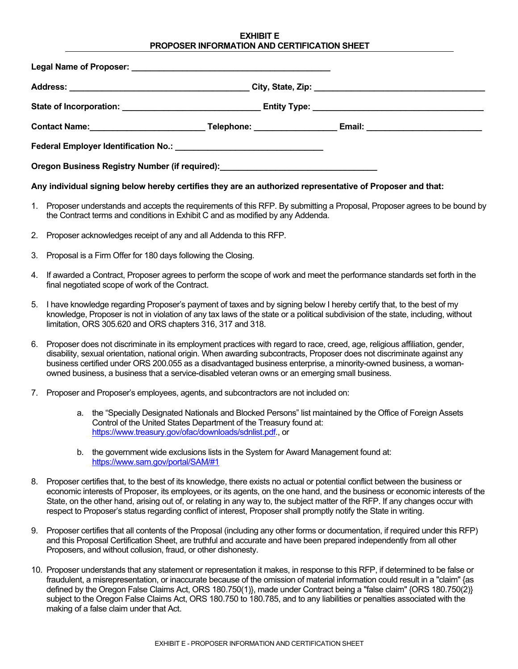#### **EXHIBIT E PROPOSER INFORMATION AND CERTIFICATION SHEET**

| Contact Name: <u>Name: All Contact Name: Contact Name: Contact Name: Contact Name: Contact Name: Contact Name: Contact Name: Contact Name: Contact Name: Contact Name: Contact Name: Contact Name: Contact Name: Contact Name: C</u> |  |  |
|--------------------------------------------------------------------------------------------------------------------------------------------------------------------------------------------------------------------------------------|--|--|
|                                                                                                                                                                                                                                      |  |  |
| <b>Oregon Business Registry Number (if required):</b>                                                                                                                                                                                |  |  |

**Any individual signing below hereby certifies they are an authorized representative of Proposer and that:**

- 1. Proposer understands and accepts the requirements of this RFP. By submitting a Proposal, Proposer agrees to be bound by the Contract terms and conditions in Exhibit C and as modified by any Addenda.
- 2. Proposer acknowledges receipt of any and all Addenda to this RFP.
- 3. Proposal is a Firm Offer for 180 days following the Closing.
- 4. If awarded a Contract, Proposer agrees to perform the scope of work and meet the performance standards set forth in the final negotiated scope of work of the Contract.
- 5. I have knowledge regarding Proposer's payment of taxes and by signing below I hereby certify that, to the best of my knowledge, Proposer is not in violation of any tax laws of the state or a political subdivision of the state, including, without limitation, ORS 305.620 and ORS chapters 316, 317 and 318.
- 6. Proposer does not discriminate in its employment practices with regard to race, creed, age, religious affiliation, gender, disability, sexual orientation, national origin. When awarding subcontracts, Proposer does not discriminate against any business certified under ORS 200.055 as a disadvantaged business enterprise, a minority-owned business, a womanowned business, a business that a service-disabled veteran owns or an emerging small business.
- 7. Proposer and Proposer's employees, agents, and subcontractors are not included on:
	- a. the "Specially Designated Nationals and Blocked Persons" list maintained by the Office of Foreign Assets Control of the United States Department of the Treasury found at: https://www.treasury.gov/ofac/downloads/sdnlist.pdf., or
	- b. the government wide exclusions lists in the System for Award Management found at: https://www.sam.gov/portal/SAM/#1
- 8. Proposer certifies that, to the best of its knowledge, there exists no actual or potential conflict between the business or economic interests of Proposer, its employees, or its agents, on the one hand, and the business or economic interests of the State, on the other hand, arising out of, or relating in any way to, the subject matter of the RFP. If any changes occur with respect to Proposer's status regarding conflict of interest, Proposer shall promptly notify the State in writing.
- 9. Proposer certifies that all contents of the Proposal (including any other forms or documentation, if required under this RFP) and this Proposal Certification Sheet, are truthful and accurate and have been prepared independently from all other Proposers, and without collusion, fraud, or other dishonesty.
- 10. Proposer understands that any statement or representation it makes, in response to this RFP, if determined to be false or fraudulent, a misrepresentation, or inaccurate because of the omission of material information could result in a "claim" {as defined by the Oregon False Claims Act, ORS 180.750(1)}, made under Contract being a "false claim" {ORS 180.750(2)} subject to the Oregon False Claims Act, ORS 180.750 to 180.785, and to any liabilities or penalties associated with the making of a false claim under that Act.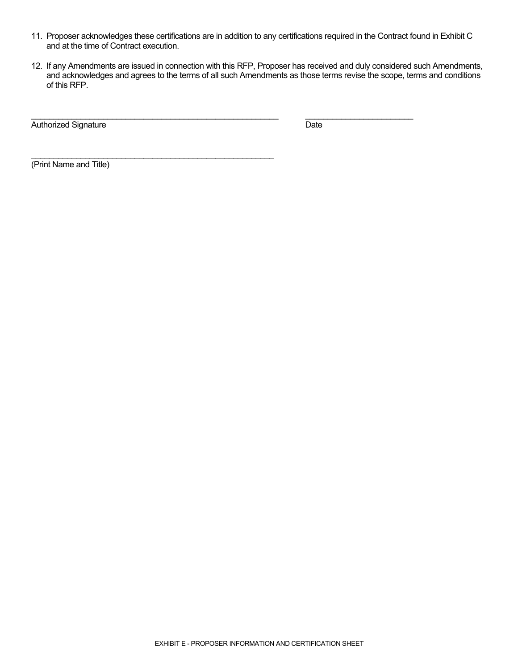- 11. Proposer acknowledges these certifications are in addition to any certifications required in the Contract found in Exhibit C and at the time of Contract execution.
- 12. If any Amendments are issued in connection with this RFP, Proposer has received and duly considered such Amendments, and acknowledges and agrees to the terms of all such Amendments as those terms revise the scope, terms and conditions of this RFP.

\_\_\_\_\_\_\_\_\_\_\_\_\_\_\_\_\_\_\_\_\_\_\_\_\_\_\_\_\_\_\_\_\_\_\_\_\_\_\_\_\_\_\_\_\_\_\_\_\_\_\_\_\_\_\_ \_\_\_\_\_\_\_\_\_\_\_\_\_\_\_\_\_\_\_\_\_\_\_\_

Authorized Signature **Date** Date **Date** 

 $\mathcal{L}_\text{max}$  , and the contract of the contract of the contract of the contract of the contract of the contract of the contract of the contract of the contract of the contract of the contract of the contract of the contr (Print Name and Title)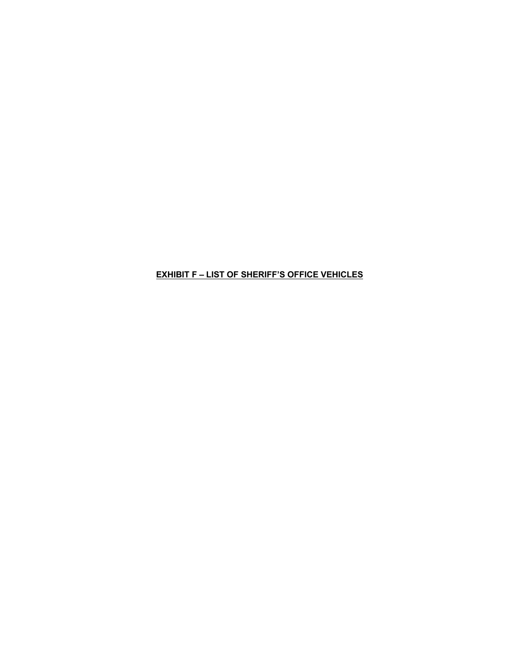**EXHIBIT F – LIST OF SHERIFF'S OFFICE VEHICLES**